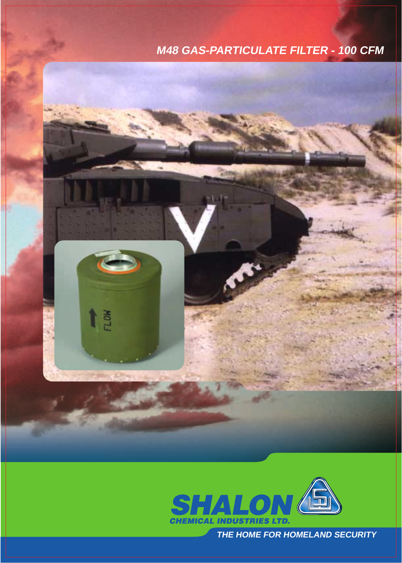## **M48 GAS-PARTICULATE FILTER - 100 CFM**





**THE HOME FOR HOMELAND SECURITY**